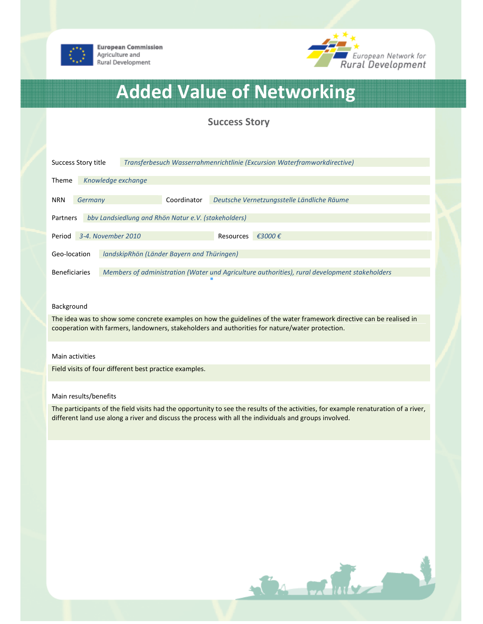

**European Commission** Agriculture and Rural Development



# Added Value of Networking

# Success Story

| Success Story title                                             |                    |  | Transferbesuch Wasserrahmenrichtlinie (Excursion Waterframworkdirective) |                                            |                                                                                               |  |
|-----------------------------------------------------------------|--------------------|--|--------------------------------------------------------------------------|--------------------------------------------|-----------------------------------------------------------------------------------------------|--|
| <b>Theme</b>                                                    | Knowledge exchange |  |                                                                          |                                            |                                                                                               |  |
| <b>NRN</b>                                                      | Germany            |  | Coordinator                                                              | Deutsche Vernetzungsstelle Ländliche Räume |                                                                                               |  |
| bby Landsiedlung and Rhön Natur e.V. (stakeholders)<br>Partners |                    |  |                                                                          |                                            |                                                                                               |  |
| Period                                                          | 3-4. November 2010 |  |                                                                          | Resources                                  | €3000€                                                                                        |  |
| landskipRhön (Länder Bayern and Thüringen)<br>Geo-location      |                    |  |                                                                          |                                            |                                                                                               |  |
| <b>Beneficiaries</b>                                            |                    |  |                                                                          |                                            | Members of administration (Water und Agriculture authorities), rural development stakeholders |  |

#### Background

The idea was to show some concrete examples on how the guidelines of the water framework directive can be realised in cooperation with farmers, landowners, stakeholders and authorities for nature/water protection.

## Main activities

Field visits of four different best practice examples.

## Main results/benefits

The participants of the field visits had the opportunity to see the results of the activities, for example renaturation of a river, different land use along a river and discuss the process with all the individuals and groups involved.